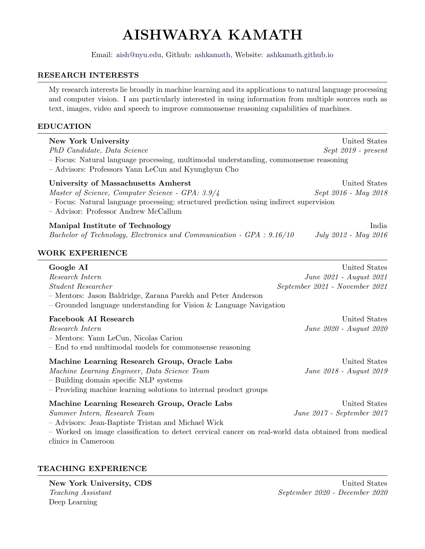# AISHWARYA KAMATH

Email: [aish@nyu.edu,](mailto:aish@nyu.edu) Github: [ashkamath,](https://github.com/ashkamath) Website: <ashkamath.github.io>

#### RESEARCH INTERESTS

My research interests lie broadly in machine learning and its applications to natural language processing and computer vision. I am particularly interested in using information from multiple sources such as text, images, video and speech to improve commonsense reasoning capabilities of machines.

#### EDUCATION

| <b>New York University</b><br>PhD Candidate, Data Science<br>- Focus: Natural language processing, multimodal understanding, commonsense reasoning<br>- Advisors: Professors Yann LeCun and Kyunghyun Cho                                                        | United States<br>Sept 2019 - present                                       |
|------------------------------------------------------------------------------------------------------------------------------------------------------------------------------------------------------------------------------------------------------------------|----------------------------------------------------------------------------|
| University of Massachusetts Amherst<br>Master of Science, Computer Science - GPA: 3.9/4<br>- Focus: Natural language processing; structured prediction using indirect supervision<br>- Advisor: Professor Andrew McCallum                                        | United States<br>Sept 2016 - May 2018                                      |
| Manipal Institute of Technology<br>Bachelor of Technology, Electronics and Communication - GPA : 9.16/10                                                                                                                                                         | India<br>July 2012 - May 2016                                              |
| <b>WORK EXPERIENCE</b>                                                                                                                                                                                                                                           |                                                                            |
| Google AI<br>Research Intern<br><b>Student Researcher</b><br>- Mentors: Jason Baldridge, Zarana Parekh and Peter Anderson<br>- Grounded language understanding for Vision $\&$ Language Navigation                                                               | United States<br>June 2021 - August 2021<br>September 2021 - November 2021 |
| <b>Facebook AI Research</b><br>Research Intern<br>- Mentors: Yann LeCun, Nicolas Carion<br>- End to end multimodal models for commonsense reasoning                                                                                                              | United States<br>June 2020 - August 2020                                   |
| Machine Learning Research Group, Oracle Labs<br>Machine Learning Engineer, Data Science Team<br>- Building domain specific NLP systems<br>- Providing machine learning solutions to internal product groups                                                      | United States<br>June 2018 - August 2019                                   |
| Machine Learning Research Group, Oracle Labs<br>Summer Intern, Research Team<br>- Advisors: Jean-Baptiste Tristan and Michael Wick<br>- Worked on image classification to detect cervical cancer on real-world data obtained from medical<br>clinics in Cameroon | United States<br>June 2017 - September 2017                                |

# TEACHING EXPERIENCE

New York University, CDS United States Deep Learning

Teaching Assistant September 2020 - December 2020